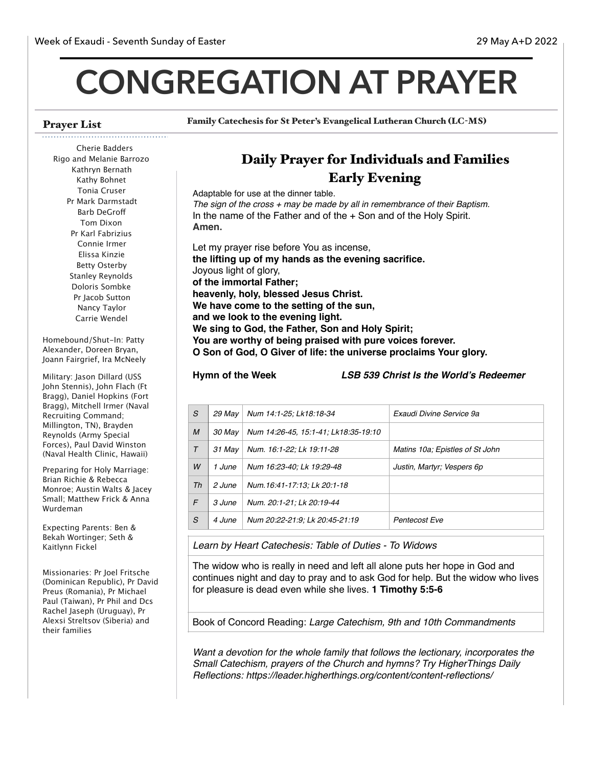# **CONGREGATION AT PRAYER**

# Prayer List

Family Catechesis for St Peter's Evangelical Lutheran Church (LC-MS)

### Cherie Badders Rigo and Melanie Barrozo Kathryn Bernath Kathy Bohnet Tonia Cruser Pr Mark Darmstadt Barb DeGrof Tom Dixon Pr Karl Fabrizius Connie Irmer Elissa Kinzie Betty Osterby Stanley Reynolds Doloris Sombke Pr Jacob Sutton Nancy Taylor Carrie Wendel

Homebound/Shut-In: Patty Alexander, Doreen Bryan, Joann Fairgrief, Ira McNeely

Military: Jason Dillard (USS John Stennis), John Flach (Ft Bragg), Daniel Hopkins (Fort Bragg), Mitchell Irmer (Naval Recruiting Command; Millington, TN), Brayden Reynolds (Army Special Forces), Paul David Winston (Naval Health Clinic, Hawaii)

Preparing for Holy Marriage: Brian Richie & Rebecca Monroe; Austin Walts & Jacey Small; Matthew Frick & Anna Wurdeman

Expecting Parents: Ben & Bekah Wortinger; Seth & Kaitlynn Fickel

Missionaries: Pr Joel Fritsche (Dominican Republic), Pr David Preus (Romania), Pr Michael Paul (Taiwan), Pr Phil and Dcs Rachel Jaseph (Uruguay), Pr Alexsi Streltsov (Siberia) and their families

# Daily Prayer for Individuals and Families Early Evening

Adaptable for use at the dinner table. *The sign of the cross + may be made by all in remembrance of their Baptism.* In the name of the Father and of the + Son and of the Holy Spirit. **Amen.**

Let my prayer rise before You as incense, **the lifting up of my hands as the evening sacrifice.** Joyous light of glory, **of the immortal Father; heavenly, holy, blessed Jesus Christ. We have come to the setting of the sun, and we look to the evening light. We sing to God, the Father, Son and Holy Spirit; You are worthy of being praised with pure voices forever. O Son of God, O Giver of life: the universe proclaims Your glory.**

**Hymn of the Week** *LSB 539 Christ Is the World's Redeemer*

| S      | 29 Mav | Num 14:1-25; Lk18:18-34              | Exaudi Divine Service 9a        |
|--------|--------|--------------------------------------|---------------------------------|
| M      | 30 May | Num 14:26-45, 15:1-41; Lk18:35-19:10 |                                 |
| $\tau$ | 31 Mav | Num. 16:1-22; Lk 19:11-28            | Matins 10a; Epistles of St John |
| W      | 1 June | Num 16:23-40; Lk 19:29-48            | Justin, Martyr; Vespers 6p      |
| Th     | 2 June | Num.16:41-17:13; Lk 20:1-18          |                                 |
| F      | 3 June | Num. 20:1-21; Lk 20:19-44            |                                 |
| S      | 4 June | Num 20:22-21:9; Lk 20:45-21:19       | Pentecost Eve                   |
|        |        |                                      |                                 |

*Learn by Heart Catechesis: Table of Duties - To Widows* 

The widow who is really in need and left all alone puts her hope in God and continues night and day to pray and to ask God for help. But the widow who lives for pleasure is dead even while she lives. **1 Timothy 5:5-6**

Book of Concord Reading: *Large Catechism, 9th and 10th Commandments*

*Want a devotion for the whole family that follows the lectionary, incorporates the Small Catechism, prayers of the Church and hymns? Try HigherThings Daily Reflections: https://leader.higherthings.org/content/content-reflections/*